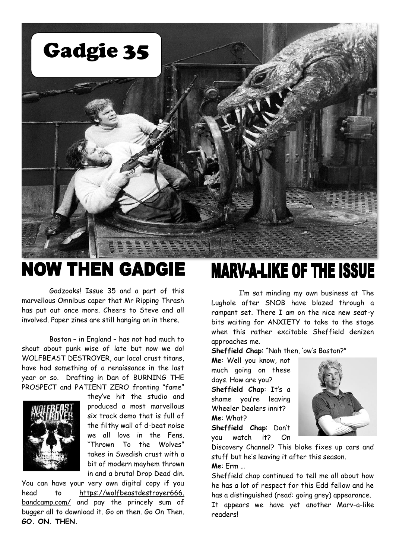

### **NOW THEN GADGIE**

Gadzooks! Issue 35 and a part of this marvellous Omnibus caper that Mr Ripping Thrash has put out once more. Cheers to Steve and all involved. Paper zines are still hanging on in there.

Boston – in England – has not had much to shout about punk wise of late but now we do! WOLFBEAST DESTROYER, our local crust titans, have had something of a renaissance in the last year or so. Drafting in Dan of BURNING THE PROSPECT and PATIENT ZERO fronting "fame"



they've hit the studio and produced a most marvellous six track demo that is full of the filthy wall of d-beat noise we all love in the Fens. "Thrown To the Wolves" takes in Swedish crust with a bit of modern mayhem thrown in and a brutal Drop Dead din.

You can have your very own digital copy if you head to https://wolfbeastdestroyer666. bandcamp.com/ and pay the princely sum of bugger all to download it. Go on then. Go On Then. **GO. ON. THEN.**

### **MARV-A-LIKE OF THE ISSUE**

I'm sat minding my own business at The Lughole after SNOB have blazed through a rampant set. There I am on the nice new seat-y bits waiting for ANXIETY to take to the stage when this rather excitable Sheffield denizen approaches me.

**Sheffield Chap**: "Nah then, 'ow's Boston?"

**Me**: Well you know, not much going on these days. How are you? **Sheffield Chap**: It's a shame you're leaving Wheeler Dealers innit? **Me**: What?

**Sheffield Chap**: Don't you watch it? On



Discovery Channel? This bloke fixes up cars and stuff but he's leaving it after this season. **Me**: Erm …

Sheffield chap continued to tell me all about how he has a lot of respect for this Edd fellow and he has a distinguished (read: going grey) appearance.

It appears we have yet another Marv-a-like readers!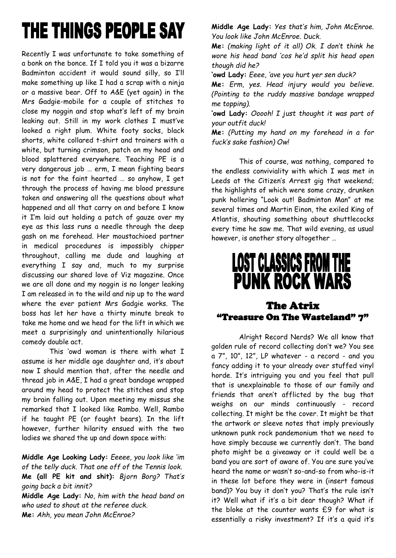## THE THINGS PEOPLE SAY

Recently I was unfortunate to take something of a bonk on the bonce. If I told you it was a bizarre Badminton accident it would sound silly, so I'll make something up like I had a scrap with a ninja or a massive bear. Off to A&E (yet again) in the Mrs Gadgie-mobile for a couple of stitches to close my noggin and stop what's left of my brain leaking out. Still in my work clothes I must've looked a right plum. White footy socks, black shorts, white collared t-shirt and trainers with a white, but turning crimson, patch on my head and blood splattered everywhere. Teaching PE is a very dangerous job … erm, I mean fighting bears is not for the faint hearted … so anyhow, I get through the process of having me blood pressure taken and answering all the questions about what happened and all that carry on and before I know it I'm laid out holding a patch of gauze over my eye as this lass runs a needle through the deep gash on me forehead. Her moustachioed partner in medical procedures is impossibly chipper throughout, calling me dude and laughing at everything I say and, much to my surprise discussing our shared love of Viz magazine. Once we are all done and my noggin is no longer leaking I am released in to the wild and nip up to the ward where the ever patient Mrs Gadgie works. The boss has let her have a thirty minute break to take me home and we head for the lift in which we meet a surprisingly and unintentionally hilarious comedy double act.

This 'owd woman is there with what I assume is her middle age daughter and, it's about now I should mention that, after the needle and thread job in A&E, I had a great bandage wrapped around my head to protect the stitches and stop my brain falling out. Upon meeting my missus she remarked that I looked like Rambo. Well, Rambo if he taught PE (or fought bears). In the lift however, further hilarity ensued with the two ladies we shared the up and down space with:

**Middle Age Looking Lady:** *Eeeee, you look like 'im of the telly duck. That one off of the Tennis look.* **Me (all PE kit and shit):** *Bjorn Borg? That's going back a bit innit?*

**Middle Age Lady:** *No, him with the head band on who used to shout at the referee duck.* **Me:** *Ahh, you mean John McEnroe?*

**Middle Age Lady:** *Yes that's him, John McEnroe. You look like John McEnroe. Duck.*

**Me:** *(making light of it all) Ok. I don't think he wore his head band 'cos he'd split his head open though did he?*

**'owd Lady:** *Eeee, 'ave you hurt yer sen duck?*

**Me:** *Erm, yes. Head injury would you believe. (Pointing to the ruddy massive bandage wrapped me topping).*

**'owd Lady:** *Ooooh! I just thought it was part of your outfit duck!*

**Me:** *(Putting my hand on my forehead in a for fuck's sake fashion) Ow!*

This of course, was nothing, compared to the endless conviviality with which I was met in Leeds at the Citizen's Arrest gig that weekend; the highlights of which were some crazy, drunken punk hollering "Look out! Badminton Man" at me several times and Martin Einon, the exiled King of Atlantis, shouting something about shuttlecocks every time he saw me. That wild evening, as usual however, is another story altogether …

## **LOST CLASSICS FROM THE PUNK ROCK WARS**

#### The Atrix "Treasure On The Wasteland" 7"

Alright Record Nerds? We all know that golden rule of record collecting don't we? You see a 7", 10", 12", LP whatever - a record - and you fancy adding it to your already over stuffed vinyl horde. It's intriguing you and you feel that pull that is unexplainable to those of our family and friends that aren't afflicted by the bug that weighs on our minds continuously - record collecting. It might be the cover. It might be that the artwork or sleeve notes that imply previously unknown punk rock pandemonium that we need to have simply because we currently don't. The band photo might be a giveaway or it could well be a band you are sort of aware of. You are sure you've heard the name or wasn't so-and-so from who-is-it in these lot before they were in (insert famous band)? You buy it don't you? That's the rule isn't it? Well what if it's a bit dear though? What if the bloke at the counter wants £9 for what is essentially a risky investment? If it's a quid it's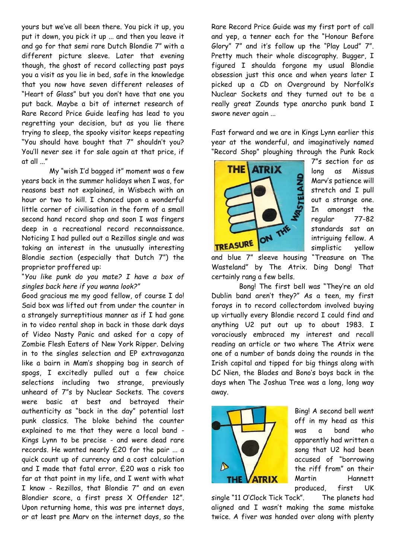yours but we've all been there. You pick it up, you put it down, you pick it up ... and then you leave it and go for that semi rare Dutch Blondie 7" with a different picture sleeve. Later that evening though, the ghost of record collecting past pays you a visit as you lie in bed, safe in the knowledge that you now have seven different releases of "Heart of Glass" but you don't have that one you put back. Maybe a bit of internet research of Rare Record Price Guide leafing has lead to you regretting your decision, but as you lie there trying to sleep, the spooky visitor keeps repeating "You should have bought that 7" shouldn't you? You'll never see it for sale again at that price, if at all ..."

My "wish I'd bagged it" moment was a few years back in the summer holidays when I was, for reasons best not explained, in Wisbech with an hour or two to kill. I chanced upon a wonderful little corner of civilisation in the form of a small second hand record shop and soon I was fingers deep in a recreational record reconnaissance. Noticing I had pulled out a Rezillos single and was taking an interest in the unusually interesting Blondie section (especially that Dutch 7") the proprietor proffered up:

#### "*You like punk do you mate? I have a box of singles back here if you wanna look?"*

Good gracious me my good fellow, of course I do! Said box was lifted out from under the counter in a strangely surreptitious manner as if I had gone in to video rental shop in back in those dark days of Video Nasty Panic and asked for a copy of Zombie Flesh Eaters of New York Ripper. Delving in to the singles selection and EP extravaganza like a bairn in Mam's shopping bag in search of spogs, I excitedly pulled out a few choice selections including two strange, previously unheard of 7"s by Nuclear Sockets. The covers were basic at best and betrayed their authenticity as "back in the day" potential lost punk classics. The bloke behind the counter explained to me that they were a local band - Kings Lynn to be precise - and were dead rare records. He wanted nearly £20 for the pair ... a quick count up of currency and a cost calculation and I made that fatal error. £20 was a risk too far at that point in my life, and I went with what I know - Rezillos, that Blondie 7" and an even Blondier score, a first press X Offender 12". Upon returning home, this was pre internet days, or at least pre Marv on the internet days, so the

Rare Record Price Guide was my first port of call and yep, a tenner each for the "Honour Before Glory" 7" and it's follow up the "Play Loud" 7". Pretty much their whole discography. Bugger, I figured I shoulda forgone my usual Blondie obsession just this once and when years later I picked up a CD on Overground by Norfolk's Nuclear Sockets and they turned out to be a really great Zounds type anarcho punk band I swore never again ...

Fast forward and we are in Kings Lynn earlier this year at the wonderful, and imaginatively named "Record Shop" ploughing through the Punk Rock



7"s section for as long as Missus Marv's patience will stretch and I pull out a strange one. In amongst the regular 77-82 standards sat an intriguing fellow. A simplistic yellow

and blue 7" sleeve housing "Treasure on The Wasteland" by The Atrix. Ding Dong! That certainly rang a few bells.

Bong! The first bell was "They're an old Dublin band aren't they?" As a teen, my first forays in to record collectordom involved buying up virtually every Blondie record I could find and anything U2 put out up to about 1983. I voraciously embraced my interest and recall reading an article or two where The Atrix were one of a number of bands doing the rounds in the Irish capital and tipped for big things along with DC Nien, the Blades and Bono's boys back in the days when The Joshua Tree was a long, long way away.



Bing! A second bell went off in my head as this was a band who apparently had written a song that U2 had been accused of "borrowing the riff from" on their Martin Hannett produced, first UK

single "11 O'Clock Tick Tock". The planets had aligned and I wasn't making the same mistake twice. A fiver was handed over along with plenty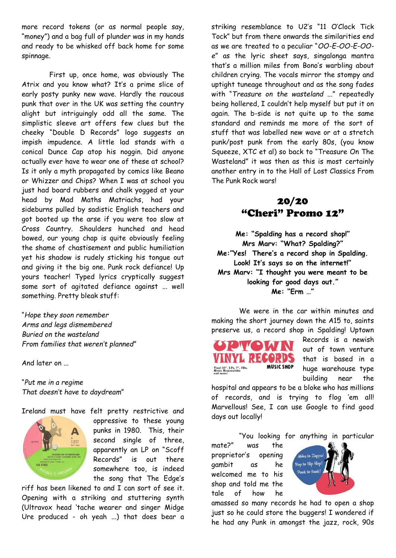more record tokens (or as normal people say, "money") and a bag full of plunder was in my hands and ready to be whisked off back home for some spinnage.

First up, once home, was obviously The Atrix and you know what? It's a prime slice of early posty punky new wave. Hardly the raucous punk that over in the UK was setting the country alight but intriguingly odd all the same. The simplistic sleeve art offers few clues but the cheeky "Double D Records" logo suggests an impish impudence. A little lad stands with a conical Dunce Cap atop his noggin. Did anyone actually ever have to wear one of these at school? Is it only a myth propagated by comics like Beano or Whizzer and Chips? When I was at school you just had board rubbers and chalk yogged at your head by Mad Maths Matriachs, had your sideburns pulled by sadistic English teachers and got booted up the arse if you were too slow at Cross Country. Shoulders hunched and head bowed, our young chap is quite obviously feeling the shame of chastisement and public humiliation yet his shadow is rudely sticking his tongue out and giving it the big one. Punk rock defiance! Up yours teacher! Typed lyrics cryptically suggest some sort of agitated defiance against ... well something. Pretty bleak stuff:

"*Hope they soon remember Arms and legs dismembered Buried on the wasteland From families that weren't planned*"

And later on ...

"*Put me in a regime That doesn't have to daydream*"

Ireland must have felt pretty restrictive and



oppressive to these young punks in 1980. This, their second single of three, apparently an LP on "Scoff Records" is out there somewhere too, is indeed the song that The Edge's

riff has been likened to and I can sort of see it. Opening with a striking and stuttering synth (Ultravox head 'tache wearer and singer Midge Ure produced - oh yeah ...) that does bear a

striking resemblance to U2's "11 O'Clock Tick Tock" but from there onwards the similarities end as we are treated to a peculiar "*OO-E-OO-E-OOe*" as the lyric sheet says, singalonga mantra that's a million miles from Bono's warbling about children crying. The vocals mirror the stompy and uptight tuneage throughout and as the song fades with "*Treasure on the wasteland ..*." repeatedly being hollered, I couldn't help myself but put it on again. The b-side is not quite up to the same standard and reminds me more of the sort of stuff that was labelled new wave or at a stretch punk/post punk from the early 80s, (you know Squeeze, XTC et al) so back to "Treasure On The Wasteland" it was then as this is most certainly another entry in to the Hall of Lost Classics From The Punk Rock wars!

#### 20/20 "Cheri" Promo 12"

**Me: "Spalding has a record shop!" Mrs Marv: "What? Spalding?" Me:"Yes! There's a record shop in Spalding. Look! It's says so on the internet!" Mrs Marv: "I thought you were meant to be looking for good days out." Me: "Erm …"**

We were in the car within minutes and making the short journey down the A15 to, saints preserve us, a record shop in Spalding! Uptown



Records is a newish out of town venture that is based in a huge warehouse type building near the

hospital and appears to be a bloke who has millions of records, and is trying to flog 'em all! Marvellous! See, I can use Google to find good days out locally!

"You looking for anything in particular

mate?" was the proprietor's opening gambit as he welcomed me to his shop and told me the tale of how he



amassed so many records he had to open a shop just so he could store the buggers! I wondered if he had any Punk in amongst the jazz, rock, 90s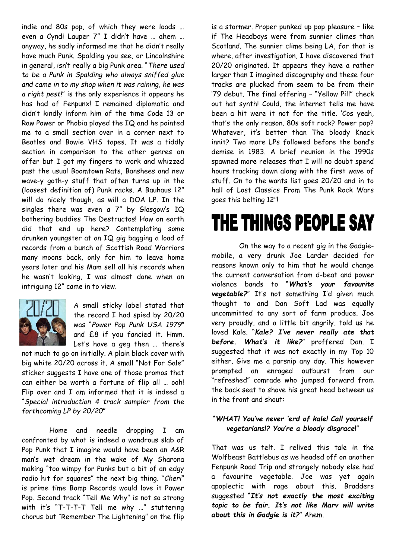indie and 80s pop, of which they were loads … even a Cyndi Lauper 7" I didn't have … ahem … anyway, he sadly informed me that he didn't really have much Punk. Spalding you see, or Lincolnshire in general, isn't really a big Punk area. "*There used to be a Punk in Spalding who always sniffed glue and came in to my shop when it was raining, he was a right pest!*" is the only experience it appears he has had of Fenpunx! I remained diplomatic and didn't kindly inform him of the time Code 13 or Raw Power or Phobia played the IQ and he pointed me to a small section over in a corner next to Beatles and Bowie VHS tapes. It was a tiddly section in comparison to the other genres on offer but I got my fingers to work and whizzed past the usual Boomtown Rats, Banshees and new wave-y goth-y stuff that often turns up in the (loosest definition of) Punk racks. A Bauhaus 12" will do nicely though, as will a DOA LP. In the singles there was even a 7" by Glasgow's IQ bothering buddies The Destructos! How on earth did that end up here? Contemplating some drunken youngster at an IQ gig bagging a load of records from a bunch of Scottish Road Warriors many moons back, only for him to leave home years later and his Mam sell all his records when he wasn't looking, I was almost done when an intriguing 12" came in to view.



A small sticky label stated that the record I had spied by 20/20 was "*Power Pop Punk USA 1979*" and £8 if you fancied it. Hmm. Let's have a geg then … there's

not much to go on initially. A plain black cover with big white 20/20 across it. A small "Not For Sale" sticker suggests I have one of those promos that can either be worth a fortune of flip all … ooh! Flip over and I am informed that it is indeed a "*Special introduction 4 track sampler from the forthcoming LP by 20/20*"

Home and needle dropping I am confronted by what is indeed a wondrous slab of Pop Punk that I imagine would have been an A&R man's wet dream in the wake of My Sharona making "too wimpy for Punks but a bit of an edgy radio hit for squares" the next big thing. "*Cheri*" is prime time Bomp Records would love it Power Pop. Second track "Tell Me Why" is not so strong with it's "T-T-T-T Tell me why …" stuttering chorus but "Remember The Lightening" on the flip

is a stormer. Proper punked up pop pleasure – like if The Headboys were from sunnier climes than Scotland. The sunnier clime being LA, for that is where, after investigation, I have discovered that 20/20 originated. It appears they have a rather larger than I imagined discography and these four tracks are plucked from seem to be from their '79 debut. The final offering – "Yellow Pill" check out hat synth! Could, the internet tells me have been a hit were it not for the title. 'Cos yeah, that's the only reason. 80s soft rock? Power pop? Whatever, it's better than The bloody Knack innit? Two more LPs followed before the band's demise in 1983. A brief reunion in the 1990s spawned more releases that I will no doubt spend hours tracking down along with the first wave of stuff. On to the wants list goes 20/20 and in to hall of Lost Classics From The Punk Rock Wars goes this belting 12"!

## THE THINGS PEOPLE SAY

On the way to a recent gig in the Gadgiemobile, a very drunk Joe Larder decided for reasons known only to him that he would change the current conversation from d-beat and power violence bands to "*What's your favourite vegetable?*" It's not something I'd given much thought to and Dan Soft Lad was equally uncommitted to any sort of farm produce. Joe very proudly, and a little bit angrily, told us he loved Kale. "*Kale? I've never really ate that before. What's it like?*" proffered Dan. I suggested that it was not exactly in my Top 10 either. Give me a parsnip any day. This however prompted an enraged outburst from our "refreshed" comrade who jumped forward from the back seat to shove his great head between us in the front and shout:

#### "*WHAT! You've never 'erd of kale! Call yourself vegetarians!? You're a bloody disgrace*!"

That was us telt. I relived this tale in the Wolfbeast Battlebus as we headed off on another Fenpunk Road Trip and strangely nobody else had a favourite vegetable. Joe was yet again apoplectic with rage about this. Bradders suggested "*It's not exactly the most exciting topic to be fair. It's not like Marv will write about this in Gadgie is it?*" Ahem.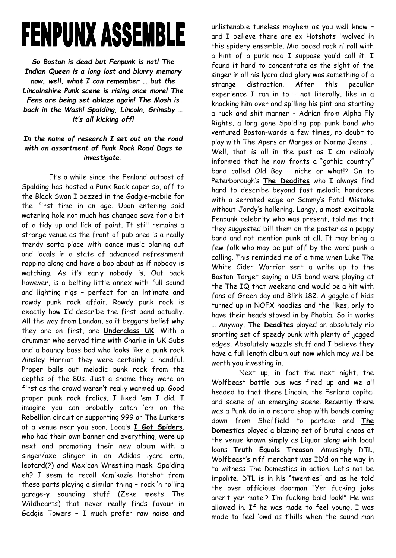# **FENPUNX ASSEMBLE**

*So Boston is dead but Fenpunk is not! The Indian Queen is a long lost and blurry memory now, well, what I can remember … but the Lincolnshire Punk scene is rising once more! The Fens are being set ablaze again! The Mosh is back in the Wash! Spalding, Lincoln, Grimsby … it's all kicking off!*

#### *In the name of research I set out on the road with an assortment of Punk Rock Road Dogs to investigate.*

It's a while since the Fenland outpost of Spalding has hosted a Punk Rock caper so, off to the Black Swan I bezzed in the Gadgie-mobile for the first time in an age. Upon entering said watering hole not much has changed save for a bit of a tidy up and lick of paint. It still remains a strange venue as the front of pub area is a really trendy sorta place with dance music blaring out and locals in a state of advanced refreshment rapping along and have a bop about as if nobody is watching. As it's early nobody is. Out back however, is a belting little annex with full sound and lighting rigs – perfect for an intimate and rowdy punk rock affair. Rowdy punk rock is exactly how I'd describe the first band actually. All the way from London, so it beggars belief why they are on first, are **Underclass UK**. With a drummer who served time with Charlie in UK Subs and a bouncy bass bod who looks like a punk rock Ainsley Harriot they were certainly a handful. Proper balls out melodic punk rock from the depths of the 80s. Just a shame they were on first as the crowd weren't really warmed up. Good proper punk rock frolics. I liked 'em I did. I imagine you can probably catch 'em on the Rebellion circuit or supporting 999 or The Lurkers at a venue near you soon. Locals **I Got Spiders**, who had their own banner and everything, were up next and promoting their new album with a singer/axe slinger in an Adidas lycra erm, leotard(?) and Mexican Wrestling mask. Spalding eh? I seem to recall Kamikazie Hotshot from these parts playing a similar thing – rock 'n rolling garage-y sounding stuff (Zeke meets The Wildhearts) that never really finds favour in Gadgie Towers – I much prefer raw noise and

unlistenable tuneless mayhem as you well know – and I believe there are ex Hotshots involved in this spidery ensemble. Mid paced rock n' roll with a hint of a punk nod I suppose you'd call it. I found it hard to concentrate as the sight of the singer in all his lycra clad glory was something of a strange distraction. After this peculiar experience I ran in to – not literally, like in a knocking him over and spilling his pint and starting a ruck and shit manner - Adrian from Alpha Fly Rights, a long gone Spalding pop punk band who ventured Boston-wards a few times, no doubt to play with The Apers or Manges or Norma Jeans … Well, that is all in the past as I am reliably informed that he now fronts a "gothic country" band called Old Boy – niche or what!? On to Peterborough's **The Deadites** who I always find hard to describe beyond fast melodic hardcore with a serrated edge or Sammy's Fatal Mistake without Jordy's hollering. Langy, a most excitable Fenpunk celebrity who was present, told me that they suggested bill them on the poster as a poppy band and not mention punk at all. It may bring a few folk who may be put off by the word punk a calling. This reminded me of a time when Luke The White Cider Warrior sent a write up to the Boston Target saying a US band were playing at the The IQ that weekend and would be a hit with fans of Green day and Blink 182. A gaggle of kids turned up in NOFX hoodies and the likes, only to have their heads stoved in by Phobia. So it works … Anyway, **The Deadites** played an absolutely rip snorting set of speedy punk with plenty of jagged edges. Absolutely wazzle stuff and I believe they have a full length album out now which may well be worth you investing in.

Next up, in fact the next night, the Wolfbeast battle bus was fired up and we all headed to that there Lincoln, the Fenland capital and scene of an emerging scene. Recently there was a Punk do in a record shop with bands coming down from Sheffield to partake and **The Domestics** played a blazing set of brutal chaos at the venue known simply as Liquor along with local loons **Truth Equals Treason**. Amusingly DTL, Wolfbeast's riff merchant was ID'd on the way in to witness The Domestics in action. Let's not be impolite. DTL is in his "twenties" and as he told the over officious doorman "Yer fucking joke aren't yer mate!? I'm fucking bald look!" He was allowed in. If he was made to feel young, I was made to feel 'owd as t'hills when the sound man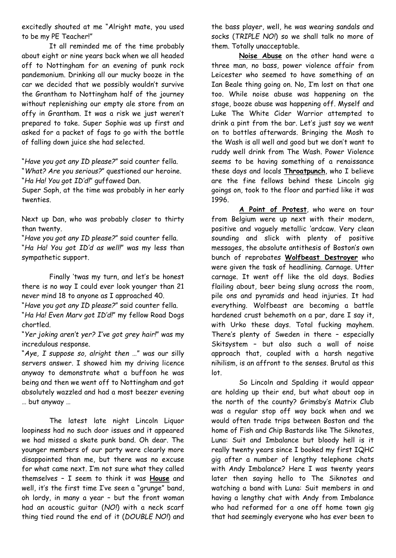excitedly shouted at me "Alright mate, you used to be my PE Teacher!"

It all reminded me of the time probably about eight or nine years back when we all headed off to Nottingham for an evening of punk rock pandemonium. Drinking all our mucky booze in the car we decided that we possibly wouldn't survive the Grantham to Nottingham half of the journey without replenishing our empty ale store from an offy in Grantham. It was a risk we just weren't prepared to take. Super Sophie was up first and asked for a packet of fags to go with the bottle of falling down juice she had selected.

"*Have you got any ID please?*" said counter fella. "*What? Are you serious?*" questioned our heroine. "*Ha Ha! You got ID'd!*" guffawed Dan.

Super Soph, at the time was probably in her early twenties.

Next up Dan, who was probably closer to thirty than twenty.

"*Have you got any ID please?*" said counter fella. "*Ha Ha! You got ID'd as well!*" was my less than sympathetic support.

Finally 'twas my turn, and let's be honest there is no way I could ever look younger than 21 never mind 18 to anyone as I approached 40.

"*Have you got any ID please?*" said counter fella.

"*Ha Ha! Even Marv got ID'd!*" my fellow Road Dogs chortled.

"*Yer joking aren't yer? I've got grey hair!*" was my incredulous response.

"*Aye, I suppose so, alright then …*" was our silly servers answer. I showed him my driving licence anyway to demonstrate what a buffoon he was being and then we went off to Nottingham and got absolutely wazzled and had a most beezer evening … but anyway …

The latest late night Lincoln Liquor loopiness had no such door issues and it appeared we had missed a skate punk band. Oh dear. The younger members of our party were clearly more disappointed than me, but there was no excuse for what came next. I'm not sure what they called themselves – I seem to think it was **House** and well, it's the first time I've seen a "grunge" band, oh lordy, in many a year – but the front woman had an acoustic guitar (*NO!*) with a neck scarf thing tied round the end of it (*DOUBLE NO!*) and

the bass player, well, he was wearing sandals and socks (*TRIPLE NO!*) so we shall talk no more of them. Totally unacceptable.

**Noise Abuse** on the other hand were a three man, no bass, power violence affair from Leicester who seemed to have something of an Ian Beale thing going on. No, I'm lost on that one too. While noise abuse was happening on the stage, booze abuse was happening off. Myself and Luke The White Cider Warrior attempted to drink a pint from the bar. Let's just say we went on to bottles afterwards. Bringing the Mosh to the Wash is all well and good but we don't want to ruddy well drink from The Wash. Power Violence seems to be having something of a renaissance these days and locals **Throatpunch**, who I believe are the fine fellows behind these Lincoln gig goings on, took to the floor and partied like it was 1996.

**A Point of Protest**, who were on tour from Belgium were up next with their modern, positive and vaguely metallic 'ardcaw. Very clean sounding and slick with plenty of positive messages, the absolute antithesis of Boston's own bunch of reprobates **Wolfbeast Destroyer** who were given the task of headlining. Carnage. Utter carnage. It went off like the old days. Bodies flailing about, beer being slung across the room, pile ons and pyramids and head injuries. It had everything. Wolfbeast are becoming a battle hardened crust behemoth on a par, dare I say it, with Urko these days. Total fucking mayhem. There's plenty of Sweden in there – especially Skitsystem – but also such a wall of noise approach that, coupled with a harsh negative nihilism, is an affront to the senses. Brutal as this lot.

So Lincoln and Spalding it would appear are holding up their end, but what about oop in the north of the county? Grimsby's Matrix Club was a regular stop off way back when and we would often trade trips between Boston and the home of Fish and Chip Bastards like The Siknotes, Luna: Suit and Imbalance but bloody hell is it really twenty years since I booked my first IQHC gig after a number of lengthy telephone chats with Andy Imbalance? Here I was twenty years later then saying hello to The Siknotes and watching a band with Luna: Suit members in and having a lengthy chat with Andy from Imbalance who had reformed for a one off home town gig that had seemingly everyone who has ever been to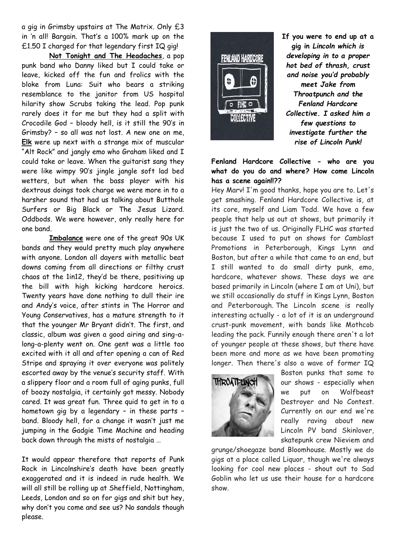a gig in Grimsby upstairs at The Matrix. Only £3 in 'n all! Bargain. That's a 100% mark up on the £1.50 I charged for that legendary first IQ gig!

**Not Tonight and The Headaches**, a pop punk band who Danny liked but I could take or leave, kicked off the fun and frolics with the bloke from Luna: Suit who bears a striking resemblance to the janitor from US hospital hilarity show Scrubs taking the lead. Pop punk rarely does it for me but they had a split with Crocodile God – bloody hell, is it still the 90's in Grimsby? – so all was not lost. A new one on me, **Elk** were up next with a strange mix of muscular "Alt Rock" and jangly emo who Graham liked and I could take or leave. When the guitarist sang they were like wimpy 90's jingle jangle soft lad bed wetters, but when the bass player with his dextrous doings took charge we were more in to a harsher sound that had us talking about Butthole Surfers or Big Black or The Jesus Lizard. Oddbods. We were however, only really here for one band.

**Imbalance** were one of the great 90s UK bands and they would pretty much play anywhere with anyone. London all dayers with metallic beat downs coming from all directions or filthy crust chaos at the 1in12, they'd be there, positiving up the bill with high kicking hardcore heroics. Twenty years have done nothing to dull their ire and Andy's voice, after stints in The Horror and Young Conservatives, has a mature strength to it that the younger Mr Bryant didn't. The first, and classic, album was given a good airing and sing-along-a-plenty went on. One gent was a little too excited with it all and after opening a can of Red Stripe and spraying it over everyone was politely escorted away by the venue's security staff. With a slippery floor and a room full of aging punks, full of boozy nostalgia, it certainly got messy. Nobody cared. It was great fun. Three quid to get in to a hometown gig by a legendary – in these parts – band. Bloody hell, for a change it wasn't just me jumping in the Gadgie Time Machine and heading back down through the mists of nostalgia …

It would appear therefore that reports of Punk Rock in Lincolnshire's death have been greatly exaggerated and it is indeed in rude health. We will all still be rolling up at Sheffield, Nottingham, Leeds, London and so on for gigs and shit but hey, why don't you come and see us? No sandals though please.



**If you were to end up at a gig in** *Lincoln which is developing in to a proper hot bed of thrash, crust and noise you'd probably meet Jake from Throatpunch and the Fenland Hardcore Collective. I asked him a few questions to investigate further the rise of Lincoln Punk!*

#### **Fenland Hardcore Collective - who are you what do you do and where? How come Lincoln has a scene again!!??**

Hey Marv! I'm good thanks, hope you are to. Let's get smashing. Fenland Hardcore Collective is, at its core, myself and Liam Todd. We have a few people that help us out at shows, but primarily it is just the two of us. Originally FLHC was started because I used to put on shows for Camblast Promotions in Peterborough, Kings Lynn and Boston, but after a while that came to an end, but I still wanted to do small dirty punk, emo, hardcore, whatever shows. These days we are based primarily in Lincoln (where I am at Uni), but we still occasionally do stuff in Kings Lynn, Boston and Peterborough. The Lincoln scene is really interesting actually - a lot of it is an underground crust-punk movement, with bands like Mothcob leading the pack. Funnily enough there aren't a lot of younger people at these shows, but there have been more and more as we have been promoting longer. Then there's also a wave of former IQ



Boston punks that some to our shows - especially when we put on Wolfbeast Destroyer and No Contest. Currently on our end we're really raving about new Lincoln PV band Skinlover, skatepunk crew Nieviem and

grunge/shoegaze band Bloomhouse. Mostly we do gigs at a place called Liquor, though we're always looking for cool new places - shout out to Sad Goblin who let us use their house for a hardcore show.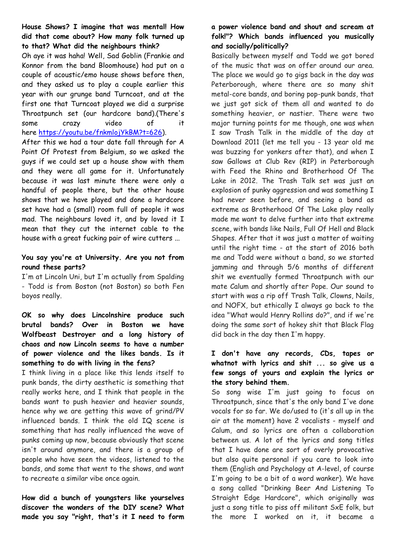**House Shows? I imagine that was mental! How did that come about? How many folk turned up to that? What did the neighbours think?**

Oh aye it was haha! Well, Sad Goblin (Frankie and Konnor from the band Bloomhouse) had put on a couple of acoustic/emo house shows before then, and they asked us to play a couple earlier this year with our grunge band Turncoat, and at the first one that Turncoat played we did a surprise Throatpunch set (our hardcore band).(There's some crazy video of it here [https://youtu.be/fnkmlojYkBM?t=626\)](https://youtu.be/fnkmlojYkBM?t=626).

After this we had a tour date fall through for A Point Of Protest from Belgium, so we asked the guys if we could set up a house show with them and they were all game for it. Unfortunately because it was last minute there were only a handful of people there, but the other house shows that we have played and done a hardcore set have had a (small) room full of people it was mad. The neighbours loved it, and by loved it I mean that they cut the internet cable to the house with a great fucking pair of wire cutters ...

#### **You say you're at University. Are you not from round these parts?**

I'm at Lincoln Uni, but I'm actually from Spalding - Todd is from Boston (not Boston) so both Fen boyos really.

#### **OK so why does Lincolnshire produce such brutal bands? Over in Boston we have Wolfbeast Destroyer and a long history of chaos and now Lincoln seems to have a number of power violence and the likes bands. Is it something to do with living in the fens?**

I think living in a place like this lends itself to punk bands, the dirty aesthetic is something that really works here, and I think that people in the bands want to push heavier and heavier sounds, hence why we are getting this wave of grind/PV influenced bands. I think the old IQ scene is something that has really influenced the wave of punks coming up now, because obviously that scene isn't around anymore, and there is a group of people who have seen the videos, listened to the bands, and some that went to the shows, and want to recreate a similar vibe once again.

**How did a bunch of youngsters like yourselves discover the wonders of the DIY scene? What made you say "right, that's it I need to form** 

#### **a power violence band and shout and scream at folk!"? Which bands influenced you musically and socially/politically?**

Basically between myself and Todd we got bored of the music that was on offer around our area. The place we would go to gigs back in the day was Peterborough, where there are so many shit metal-core bands, and boring pop-punk bands, that we just got sick of them all and wanted to do something heavier, or nastier. There were two major turning points for me though, one was when I saw Trash Talk in the middle of the day at Download 2011 (let me tell you - 13 year old me was buzzing for yonkers after that), and when I saw Gallows at Club Rev (RIP) in Peterborough with Feed the Rhino and Brotherhood Of The Lake in 2012. The Trash Talk set was just an explosion of punky aggression and was something I had never seen before, and seeing a band as extreme as Brotherhood Of The Lake play really made me want to delve further into that extreme scene, with bands like Nails, Full Of Hell and Black Shapes. After that it was just a matter of waiting until the right time - at the start of 2016 both me and Todd were without a band, so we started jamming and through 5/6 months of different shit we eventually formed Throatpunch with our mate Calum and shortly after Pope. Our sound to start with was a rip off Trash Talk, Clowns, Nails, and NOFX, but ethically I always go back to the idea "What would Henry Rollins do?", and if we're doing the same sort of hokey shit that Black Flag did back in the day then I'm happy.

#### **I don't have any records, CDs, tapes or whatnot with lyrics and shit ... so give us a few songs of yours and explain the lyrics or the story behind them.**

So song wise I'm just going to focus on Throatpunch, since that's the only band I've done vocals for so far. We do/used to (it's all up in the air at the moment) have 2 vocalists - myself and Calum, and so lyrics are often a collaboration between us. A lot of the lyrics and song titles that I have done are sort of overly provocative but also quite personal if you care to look into them (English and Psychology at A-level, of course I'm going to be a bit of a word wanker). We have a song called "Drinking Beer And Listening To Straight Edge Hardcore", which originally was just a song title to piss off militant SxE folk, but the more I worked on it, it became a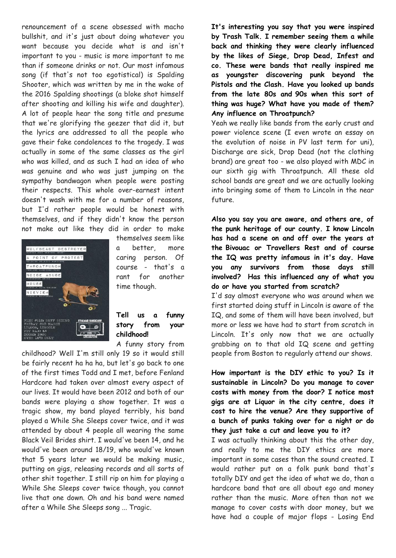renouncement of a scene obsessed with macho bullshit, and it's just about doing whatever you want because you decide what is and isn't important to you - music is more important to me than if someone drinks or not. Our most infamous song (if that's not too egotistical) is Spalding Shooter, which was written by me in the wake of the 2016 Spalding shootings (a bloke shot himself after shooting and killing his wife and daughter). A lot of people hear the song title and presume that we're glorifying the geezer that did it, but the lyrics are addressed to all the people who gave their fake condolences to the tragedy. I was actually in some of the same classes as the girl who was killed, and as such I had an idea of who was genuine and who was just jumping on the sympathy bandwagon when people were posting their respects. This whole over-earnest intent doesn't wash with me for a number of reasons, but I'd rather people would be honest with themselves, and if they didn't know the person not make out like they did in order to make



themselves seem like a better, more caring person. Of course - that's a rant for another time though.

#### **Tell us a funny story from your childhood!**

A funny story from

childhood? Well I'm still only 19 so it would still be fairly recent ha ha ha, but let's go back to one of the first times Todd and I met, before Fenland Hardcore had taken over almost every aspect of our lives. It would have been 2012 and both of our bands were playing a show together. It was a tragic show, my band played terribly, his band played a While She Sleeps cover twice, and it was attended by about 4 people all wearing the same Black Veil Brides shirt. I would've been 14, and he would've been around 18/19, who would've known that 5 years later we would be making music, putting on gigs, releasing records and all sorts of other shit together. I still rip on him for playing a While She Sleeps cover twice though, you cannot live that one down. Oh and his band were named after a While She Sleeps song ... Tragic.

**It's interesting you say that you were inspired by Trash Talk. I remember seeing them a while back and thinking they were clearly influenced by the likes of Siege, Drop Dead, Infest and co. These were bands that really inspired me as youngster discovering punk beyond the Pistols and the Clash. Have you looked up bands from the late 80s and 90s when this sort of thing was huge? What have you made of them? Any influence on Throatpunch?**

Yeah we really like bands from the early crust and power violence scene (I even wrote an essay on the evolution of noise in PV last term for uni), Discharge are sick, Drop Dead (not the clothing brand) are great too - we also played with MDC in our sixth gig with Throatpunch. All these old school bands are great and we are actually looking into bringing some of them to Lincoln in the near future.

**Also you say you are aware, and others are, of the punk heritage of our county. I know Lincoln has had a scene on and off over the years at the Bivouac or Travellers Rest and of course the IQ was pretty infamous in it's day. Have you any survivors from those days still involved? Has this influenced any of what you do or have you started from scratch?**

I'd say almost everyone who was around when we first started doing stuff in Lincoln is aware of the IQ, and some of them will have been involved, but more or less we have had to start from scratch in Lincoln. It's only now that we are actually grabbing on to that old IQ scene and getting people from Boston to regularly attend our shows.

**How important is the DIY ethic to you? Is it sustainable in Lincoln? Do you manage to cover costs with money from the door? I notice most gigs are at Liquor in the city centre, does it cost to hire the venue? Are they supportive of a bunch of punks taking over for a night or do they just take a cut and leave you to it?**

I was actually thinking about this the other day, and really to me the DIY ethics are more important in some cases than the sound created. I would rather put on a folk punk band that's totally DIY and get the idea of what we do, than a hardcore band that are all about ego and money rather than the music. More often than not we manage to cover costs with door money, but we have had a couple of major flops - Losing End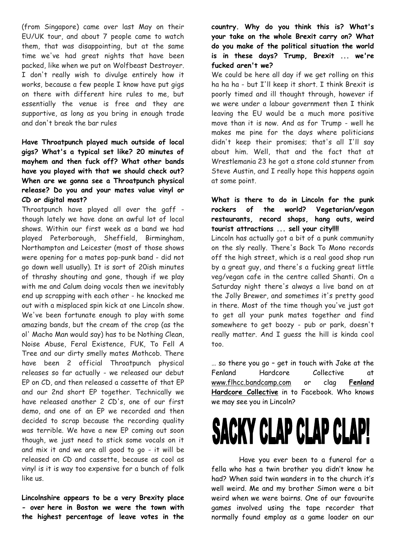(from Singapore) came over last May on their EU/UK tour, and about 7 people came to watch them, that was disappointing, but at the same time we've had great nights that have been packed, like when we put on Wolfbeast Destroyer. I don't really wish to divulge entirely how it works, because a few people I know have put gigs on there with different hire rules to me, but essentially the venue is free and they are supportive, as long as you bring in enough trade and don't break the bar rules

#### **Have Throatpunch played much outside of local gigs? What's a typical set like? 20 minutes of mayhem and then fuck off? What other bands have you played with that we should check out? When are we gonna see a Throatpunch physical release? Do you and your mates value vinyl or CD or digital most?**

Throatpunch have played all over the gaff though lately we have done an awful lot of local shows. Within our first week as a band we had played Peterborough, Sheffield, Birmingham, Northampton and Leicester (most of those shows were opening for a mates pop-punk band - did not go down well usually). It is sort of 20ish minutes of thrashy shouting and gone, though if we play with me and Calum doing vocals then we inevitably end up scrapping with each other - he knocked me out with a misplaced spin kick at one Lincoln show. We've been fortunate enough to play with some amazing bands, but the cream of the crop (as the ol' Macho Man would say) has to be Nothing Clean, Noise Abuse, Feral Existence, FUK, To Fell A Tree and our dirty smelly mates Mothcob. There have been 2 official Throatpunch physical releases so far actually - we released our debut EP on CD, and then released a cassette of that EP and our 2nd short EP together. Technically we have released another 2 CD's, one of our first demo, and one of an EP we recorded and then decided to scrap because the recording quality was terrible. We have a new EP coming out soon though, we just need to stick some vocals on it and mix it and we are all good to go - it will be released on CD and cassette, because as cool as vinyl is it is way too expensive for a bunch of folk like us.

**Lincolnshire appears to be a very Brexity place - over here in Boston we were the town with the highest percentage of leave votes in the** 

#### **country. Why do you think this is? What's your take on the whole Brexit carry on? What do you make of the political situation the world is in these days? Trump, Brexit ... we're fucked aren't we?**

We could be here all day if we get rolling on this ha ha ha - but I'll keep it short. I think Brexit is poorly timed and ill thought through, however if we were under a labour government then I think leaving the EU would be a much more positive move than it is now. And as for Trump - well he makes me pine for the days where politicians didn't keep their promises; that's all I'll say about him. Well, that and the fact that at Wrestlemania 23 he got a stone cold stunner from Steve Austin, and I really hope this happens again at some point.

#### **What is there to do in Lincoln for the punk rockers of the world? Vegetarian/vegan restaurants, record shops, hang outs, weird tourist attractions ... sell your city!!!!**

Lincoln has actually got a bit of a punk community on the sly really. There's Back To Mono records off the high street, which is a real good shop run by a great guy, and there's a fucking great little veg/vegan cafe in the centre called Shanti. On a Saturday night there's always a live band on at the Jolly Brewer, and sometimes it's pretty good in there. Most of the time though you've just got to get all your punk mates together and find somewhere to get boozy - pub or park, doesn't really matter. And I guess the hill is kinda cool too.

… so there you go – get in touch with Jake at the Fenland Hardcore Collective at [www.flhcc.bandcamp.com](http://www.flhcc.bandcamp.com/) or clag **Fenland Hardcore Collective** in to Facebook. Who knows we may see you in Lincoln?

## SACKY CLAP CLAP CLA

Have you ever been to a funeral for a fella who has a twin brother you didn't know he had? When said twin wanders in to the church it's well weird. Me and my brother Simon were a bit weird when we were bairns. One of our favourite games involved using the tape recorder that normally found employ as a game loader on our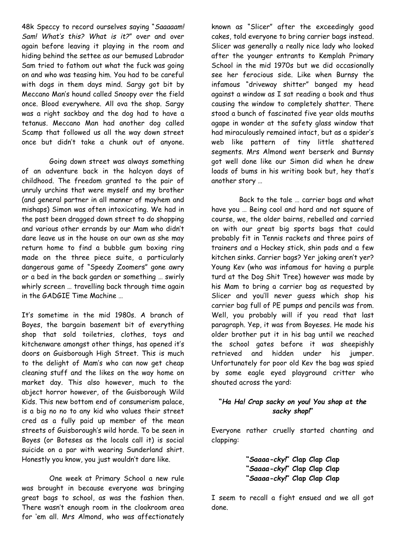48k Speccy to record ourselves saying "*Saaaaam! Sam! What's this? What is it?*" over and over again before leaving it playing in the room and hiding behind the settee as our bemused Labrador Sam tried to fathom out what the fuck was going on and who was teasing him. You had to be careful with dogs in them days mind. Sargy got bit by Meccano Man's hound called Snoopy over the field once. Blood everywhere. All ova the shop. Sargy was a right sackboy and the dog had to have a tetanus. Meccano Man had another dog called Scamp that followed us all the way down street once but didn't take a chunk out of anyone.

Going down street was always something of an adventure back in the halcyon days of childhood. The freedom granted to the pair of unruly urchins that were myself and my brother (and general partner in all manner of mayhem and mishaps) Simon was often intoxicating. We had in the past been dragged down street to do shopping and various other errands by our Mam who didn't dare leave us in the house on our own as she may return home to find a bubble gum boxing ring made on the three piece suite, a particularly dangerous game of "Speedy Zoomers" gone awry or a bed in the back garden or something … swirly whirly screen … travelling back through time again in the GADGIE Time Machine …

It's sometime in the mid 1980s. A branch of Boyes, the bargain basement bit of everything shop that sold toiletries, clothes, toys and kitchenware amongst other things, has opened it's doors on Guisborough High Street. This is much to the delight of Mam's who can now get cheap cleaning stuff and the likes on the way home on market day. This also however, much to the abject horror however, of the Guisborough Wild Kids. This new bottom end of consumerism palace, is a big no no to any kid who values their street cred as a fully paid up member of the mean streets of Guisborough's wild horde. To be seen in Boyes (or Boteses as the locals call it) is social suicide on a par with wearing Sunderland shirt. Honestly you know, you just wouldn't dare like.

One week at Primary School a new rule was brought in because everyone was bringing great bags to school, as was the fashion then. There wasn't enough room in the cloakroom area for 'em all. Mrs Almond, who was affectionately

known as "Slicer" after the exceedingly good cakes, told everyone to bring carrier bags instead. Slicer was generally a really nice lady who looked after the younger entrants to Kemplah Primary School in the mid 1970s but we did occasionally see her ferocious side. Like when Burnsy the infamous "driveway shitter" banged my head against a window as I sat reading a book and thus causing the window to completely shatter. There stood a bunch of fascinated five year olds mouths agape in wonder at the safety glass window that had miraculously remained intact, but as a spider's web like pattern of tiny little shattered segments. Mrs Almond went berserk and Burnsy got well done like our Simon did when he drew loads of bums in his writing book but, hey that's another story …

Back to the tale … carrier bags and what have you … Being cool and hard and not square of course, we, the older bairns, rebelled and carried on with our great big sports bags that could probably fit in Tennis rackets and three pairs of trainers and a Hockey stick, shin pads and a few kitchen sinks. Carrier bags? Yer joking aren't yer? Young Kev (who was infamous for having a purple turd at the Dog Shit Tree) however was made by his Mam to bring a carrier bag as requested by Slicer and you'll never guess which shop his carrier bag full of PE pumps and pencils was from. Well, you probably will if you read that last paragraph. Yep, it was from Boyeses. He made his older brother put it in his bag until we reached the school gates before it was sheepishly retrieved and hidden under his jumper. Unfortunately for poor old Kev the bag was spied by some eagle eyed playground critter who shouted across the yard:

#### **"***Ha Ha! Crap sacky on you! You shop at the sacky shop!***"**

Everyone rather cruelly started chanting and clapping:

> **"***Saaaa-cky!***" Clap Clap Clap "***Saaaa-cky!***" Clap Clap Clap "***Saaaa-cky!***" Clap Clap Clap**

I seem to recall a fight ensued and we all got done.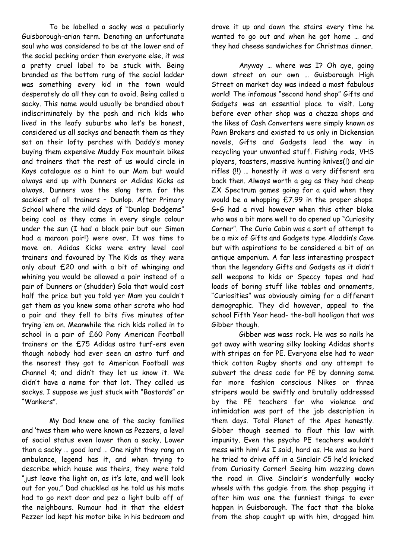To be labelled a sacky was a peculiarly Guisborough-arian term. Denoting an unfortunate soul who was considered to be at the lower end of the social pecking order than everyone else, it was a pretty cruel label to be stuck with. Being branded as the bottom rung of the social ladder was something every kid in the town would desperately do all they can to avoid. Being called a sacky. This name would usually be brandied about indiscriminately by the posh and rich kids who lived in the leafy suburbs who let's be honest, considered us all sackys and beneath them as they sat on their lofty perches with Daddy's money buying them expensive Muddy Fox mountain bikes and trainers that the rest of us would circle in Kays catalogue as a hint to our Mam but would always end up with Dunners or Adidas Kicks as always. Dunners was the slang term for the sackiest of all trainers – Dunlop. After Primary School where the wild days of "Dunlop Dodgems" being cool as they came in every single colour under the sun (I had a black pair but our Simon had a maroon pair!) were over. It was time to move on. Adidas Kicks were entry level cool trainers and favoured by The Kids as they were only about £20 and with a bit of whinging and whining you would be allowed a pair instead of a pair of Dunners or (shudder) Gola that would cost half the price but you told yer Mam you couldn't get them as you knew some other scrote who had a pair and they fell to bits five minutes after trying 'em on. Meanwhile the rich kids rolled in to school in a pair of £60 Pony American Football trainers or the £75 Adidas astro turf-ers even though nobody had ever seen an astro turf and the nearest they got to American Football was Channel 4; and didn't they let us know it. We didn't have a name for that lot. They called us sackys. I suppose we just stuck with "Bastards" or "Wankers".

My Dad knew one of the sacky families and 'twas them who were known as Pezzers, a level of social status even lower than a sacky. Lower than a sacky … good lord … One night they rang an ambulance, legend has it, and when trying to describe which house was theirs, they were told "just leave the light on, as it's late, and we'll look out for you." Dad chuckled as he told us his mate had to go next door and pez a light bulb off of the neighbours. Rumour had it that the eldest Pezzer lad kept his motor bike in his bedroom and

drove it up and down the stairs every time he wanted to go out and when he got home … and they had cheese sandwiches for Christmas dinner.

Anyway … where was I? Oh aye, going down street on our own … Guisborough High Street on market day was indeed a most fabulous world! The infamous "second hand shop" Gifts and Gadgets was an essential place to visit. Long before ever other shop was a chazza shops and the likes of Cash Converters were simply known as Pawn Brokers and existed to us only in Dickensian novels, Gifts and Gadgets lead the way in recycling your unwanted stuff. Fishing rods, VHS players, toasters, massive hunting knives(!) and air rifles (!!) … honestly it was a very different era back then. Always worth a geg as they had cheap ZX Spectrum games going for a quid when they would be a whopping £7.99 in the proper shops. G+G had a rival however when this other bloke who was a bit more well to do opened up "Curiosity Corner". The Curio Cabin was a sort of attempt to be a mix of Gifts and Gadgets type Aladdin's Cave but with aspirations to be considered a bit of an antique emporium. A far less interesting prospect than the legendary Gifts and Gadgets as it didn't sell weapons to kids or Speccy tapes and had loads of boring stuff like tables and ornaments, "Curiosities" was obviously aiming for a different demographic. They did however, appeal to the school Fifth Year head- the-ball hooligan that was Gibber though.

Gibber was wass rock. He was so nails he got away with wearing silky looking Adidas shorts with stripes on for PE. Everyone else had to wear thick cotton Rugby shorts and any attempt to subvert the dress code for PE by donning some far more fashion conscious Nikes or three stripers would be swiftly and brutally addressed by the PE teachers for who violence and intimidation was part of the job description in them days. Total Planet of the Apes honestly. Gibber though seemed to flout this law with impunity. Even the psycho PE teachers wouldn't mess with him! As I said, hard as. He was so hard he tried to drive off in a Sinclair C5 he'd knicked from Curiosity Corner! Seeing him wazzing down the road in Clive Sinclair's wonderfully wacky wheels with the gadgie from the shop pegging it after him was one the funniest things to ever happen in Guisborough. The fact that the bloke from the shop caught up with him, dragged him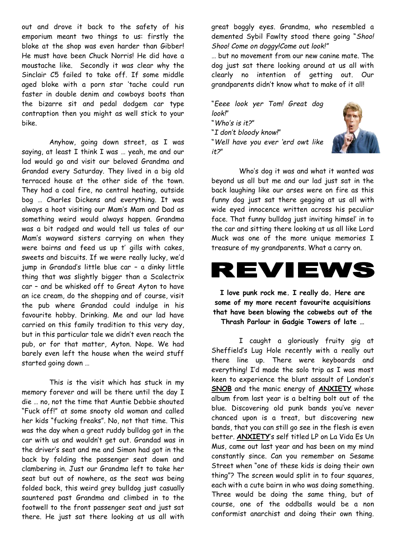out and drove it back to the safety of his emporium meant two things to us: firstly the bloke at the shop was even harder than Gibber! He must have been Chuck Norris! He did have a moustache like. Secondly it was clear why the Sinclair C5 failed to take off. If some middle aged bloke with a porn star 'tache could run faster in double denim and cowboys boots than the bizarre sit and pedal dodgem car type contraption then you might as well stick to your bike.

Anyhow, going down street, as I was saying, at least I think I was … yeah, me and our lad would go and visit our beloved Grandma and Grandad every Saturday. They lived in a big old terraced house at the other side of the town. They had a coal fire, no central heating, outside bog … Charles Dickens and everything. It was always a hoot visiting our Mam's Mam and Dad as something weird would always happen. Grandma was a bit radged and would tell us tales of our Mam's wayward sisters carrying on when they were bairns and feed us up t' gills with cakes, sweets and biscuits. If we were really lucky, we'd jump in Grandad's little blue car – a dinky little thing that was slightly bigger than a Scalectrix car – and be whisked off to Great Ayton to have an ice cream, do the shopping and of course, visit the pub where Grandad could indulge in his favourite hobby. Drinking. Me and our lad have carried on this family tradition to this very day, but in this particular tale we didn't even reach the pub, or for that matter, Ayton. Nope. We had barely even left the house when the weird stuff started going down …

This is the visit which has stuck in my memory forever and will be there until the day I die … no, not the time that Auntie Debbie shouted "Fuck off!" at some snooty old woman and called her kids "fucking freaks". No, not that time. This was the day when a great ruddy bulldog got in the car with us and wouldn't get out. Grandad was in the driver's seat and me and Simon had got in the back by folding the passenger seat down and clambering in. Just our Grandma left to take her seat but out of nowhere, as the seat was being folded back, this weird grey bulldog just casually sauntered past Grandma and climbed in to the footwell to the front passenger seat and just sat there. He just sat there looking at us all with

great boggly eyes. Grandma, who resembled a demented Sybil Fawlty stood there going "*Shoo! Shoo! Come on doggy!Come out look!"*

… but no movement from our new canine mate. The dog just sat there looking around at us all with clearly no intention of getting out. Our grandparents didn't know what to make of it all!

"*Eeee look yer Tom! Great dog look!*" "*Who's is it?*" "*I don't bloody know!*" "*Well have you ever 'erd owt like* 

*it?*"



Who's dog it was and what it wanted was beyond us all but me and our lad just sat in the back laughing like our arses were on fire as this funny dog just sat there gegging at us all with wide eyed innocence written across his peculiar face. That funny bulldog just inviting himsel' in to the car and sitting there looking at us all like Lord Muck was one of the more unique memories I treasure of my grandparents. What a carry on.



**I love punk rock me. I really do. Here are some of my more recent favourite acquisitions that have been blowing the cobwebs out of the Thrash Parlour in Gadgie Towers of late …**

I caught a gloriously fruity gig at Sheffield's Lug Hole recently with a really out there line up. There were keyboards and everything! I'd made the solo trip as I was most keen to experience the blunt assault of London's **SNOB** and the manic energy of **ANXIETY** whose album from last year is a belting bolt out of the blue. Discovering old punk bands you've never chanced upon is a treat, but discovering new bands, that you can still go see in the flesh is even better. **ANXIETY**'s self titled LP on La Vida Es Un Mus, came out last year and has been on my mind constantly since. Can you remember on Sesame Street when "one of these kids is doing their own thing"? The screen would split in to four squares, each with a cute bairn in who was doing something. Three would be doing the same thing, but of course, one of the oddballs would be a non conformist anarchist and doing their own thing.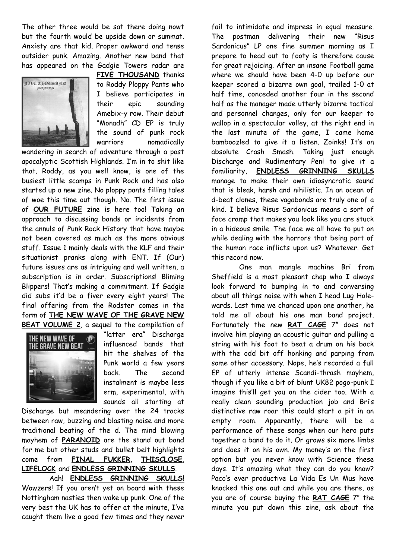The other three would be sat there doing nowt but the fourth would be upside down or summat. Anxiety are that kid. Proper awkward and tense outsider punk. Amazing. Another new band that has appeared on the Gadgie Towers radar are



**FIVE THOUSAND** thanks to Roddy Ploppy Pants who I believe participates in their epic sounding Amebix-y row. Their debut "Monadh" CD EP is truly the sound of punk rock warriors nomadically

wandering in search of adventure through a post apocalyptic Scottish Highlands. I'm in to shit like that. Roddy, as you well know, is one of the busiest little scamps in Punk Rock and has also started up a new zine. No ploppy pants filling tales of woe this time out though. No. The first issue of **OUR FUTURE** zine is here too! Taking an approach to discussing bands or incidents from the annuls of Punk Rock History that have maybe not been covered as much as the more obvious stuff. Issue 1 mainly deals with the KLF and their situationist pranks along with ENT. If (Our) future issues are as intriguing and well written, a subscription is in order. Subscriptions! Bliming Blippers! That's making a commitment. If Gadgie did subs it'd be a fiver every eight years! The final offering from the Rodster comes in the form of **THE NEW WAVE OF THE GRAVE NEW BEAT VOLUME 2**, a sequel to the compilation of



"latter era" Discharge influenced bands that hit the shelves of the Punk world a few years back. The second instalment is maybe less erm, experimental, with sounds all starting at

Discharge but meandering over the 24 tracks between raw, buzzing and blasting noise and more traditional beating of the d. The mind blowing mayhem of **PARANOID** are the stand out band for me but other studs and bullet belt highlights come from **FINAL FUKKER**, **THISCLOSE**, **LIFELOCK** and **ENDLESS GRINNING SKULLS**. Aah! **ENDLESS GRINNING SKULLS!** Wowzers! If you aren't yet on board with these Nottingham nasties then wake up punk. One of the very best the UK has to offer at the minute, I've

caught them live a good few times and they never

fail to intimidate and impress in equal measure. The postman delivering their new "Risus Sardonicus" LP one fine summer morning as I prepare to head out to footy is therefore cause for great rejoicing. After an insane Football game where we should have been 4-0 up before our keeper scored a bizarre own goal, trailed 1-0 at half time, conceded another four in the second half as the manager made utterly bizarre tactical and personnel changes, only for our keeper to wallop in a spectacular volley, at the right end in the last minute of the game, I came home bamboozled to give it a listen. Zoinks! It's an absolute Crash Smash. Taking just enough Discharge and Rudimentary Peni to give it a familiarity, **ENDLESS GRINNING SKULLS** manage to make their own idiosyncratic sound that is bleak, harsh and nihilistic. In an ocean of d-beat clones, these vagabonds are truly one of a kind. I believe Risus Sardonicus means a sort of face cramp that makes you look like you are stuck in a hideous smile. The face we all have to put on while dealing with the horrors that being part of the human race inflicts upon us? Whatever. Get this record now.

One man mangle machine Bri from Sheffield is a most pleasant chap who I always look forward to bumping in to and conversing about all things noise with when I head Lug Holewards. Last time we chanced upon one another, he told me all about his one man band project. Fortunately the new **RAT CAGE** 7" does not involve him playing an acoustic guitar and pulling a string with his foot to beat a drum on his back with the odd bit off honking and parping from some other accessory. Nope, he's recorded a full EP of utterly intense Scandi-thrash mayhem, though if you like a bit of blunt UK82 pogo-punk I imagine this'll get you on the cider too. With a really clean sounding production job and Bri's distinctive raw roar this could start a pit in an empty room. Apparently, there will be a performance of these songs when our hero puts together a band to do it. Or grows six more limbs and does it on his own. My money's on the first option but you never know with Science these days. It's amazing what they can do you know? Paco's ever productive La Vida Es Un Mus have knocked this one out and while you are there, as you are of course buying the **RAT CAGE** 7" the minute you put down this zine, ask about the